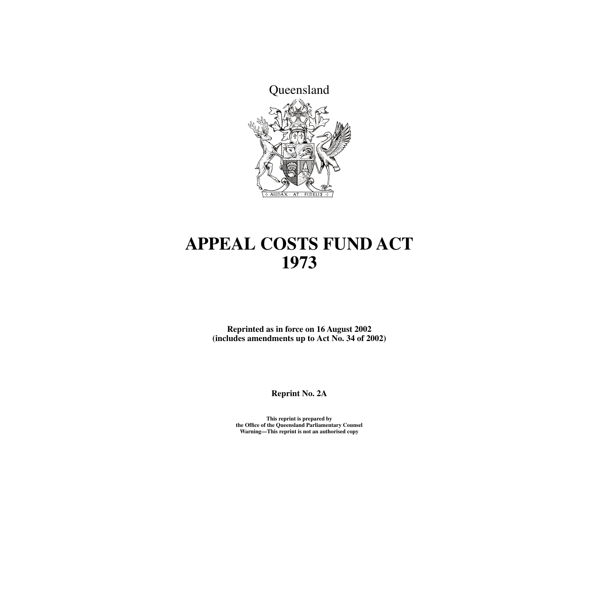

# **APPEAL COSTS FUND ACT 1973**

**Reprinted as in force on 16 August 2002 (includes amendments up to Act No. 34 of 2002)**

**Reprint No. 2A**

**This reprint is prepared by the Office of the Queensland Parliamentary Counsel Warning—This reprint is not an authorised copy**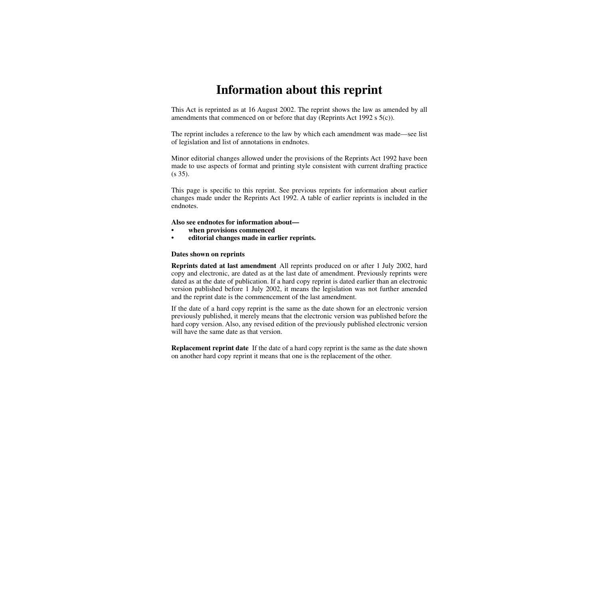# **Information about this reprint**

This Act is reprinted as at 16 August 2002. The reprint shows the law as amended by all amendments that commenced on or before that day (Reprints Act 1992 s 5(c)).

The reprint includes a reference to the law by which each amendment was made—see list of legislation and list of annotations in endnotes.

Minor editorial changes allowed under the provisions of the Reprints Act 1992 have been made to use aspects of format and printing style consistent with current drafting practice (s 35).

This page is specific to this reprint. See previous reprints for information about earlier changes made under the Reprints Act 1992. A table of earlier reprints is included in the endnotes.

#### **Also see endnotes for information about—**

- **when provisions commenced**
- **editorial changes made in earlier reprints.**

#### **Dates shown on reprints**

**Reprints dated at last amendment** All reprints produced on or after 1 July 2002, hard copy and electronic, are dated as at the last date of amendment. Previously reprints were dated as at the date of publication. If a hard copy reprint is dated earlier than an electronic version published before 1 July 2002, it means the legislation was not further amended and the reprint date is the commencement of the last amendment.

If the date of a hard copy reprint is the same as the date shown for an electronic version previously published, it merely means that the electronic version was published before the hard copy version. Also, any revised edition of the previously published electronic version will have the same date as that version.

**Replacement reprint date** If the date of a hard copy reprint is the same as the date shown on another hard copy reprint it means that one is the replacement of the other.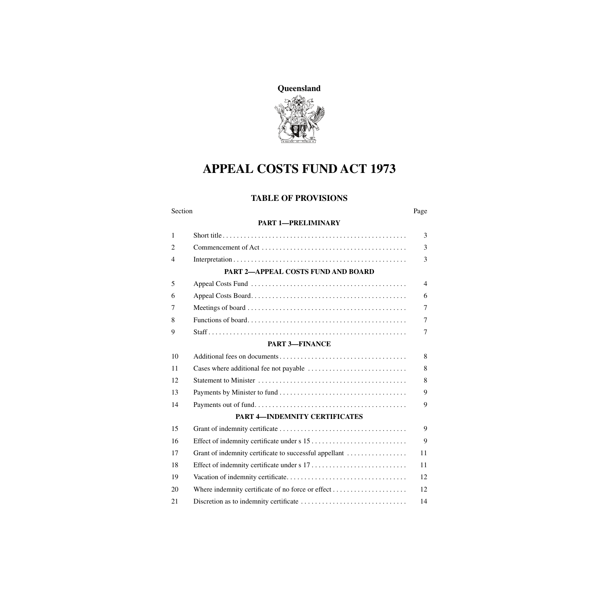

# **APPEAL COSTS FUND ACT 1973**

# **TABLE OF PROVISIONS**

| Section        |                                                        | Page           |  |
|----------------|--------------------------------------------------------|----------------|--|
|                | <b>PART 1-PRELIMINARY</b>                              |                |  |
| $\mathbf{1}$   |                                                        | 3              |  |
| 2              |                                                        | 3              |  |
| $\overline{4}$ |                                                        | 3              |  |
|                | PART 2-APPEAL COSTS FUND AND BOARD                     |                |  |
| 5              |                                                        | $\overline{4}$ |  |
| 6              |                                                        | 6              |  |
| 7              |                                                        | 7              |  |
| 8              |                                                        | $\overline{7}$ |  |
| 9              |                                                        | 7              |  |
|                | <b>PART 3-FINANCE</b>                                  |                |  |
| 10             |                                                        | 8              |  |
| 11             |                                                        | 8              |  |
| 12             |                                                        | 8              |  |
| 13             |                                                        | 9              |  |
| 14             |                                                        | 9              |  |
|                | PART 4-INDEMNITY CERTIFICATES                          |                |  |
| 15             |                                                        | 9              |  |
| 16             |                                                        | 9              |  |
| 17             | Grant of indemnity certificate to successful appellant | 11             |  |
| 18             |                                                        | 11             |  |
| 19             |                                                        | 12             |  |
| 20             |                                                        | 12             |  |
| 21             |                                                        | 14             |  |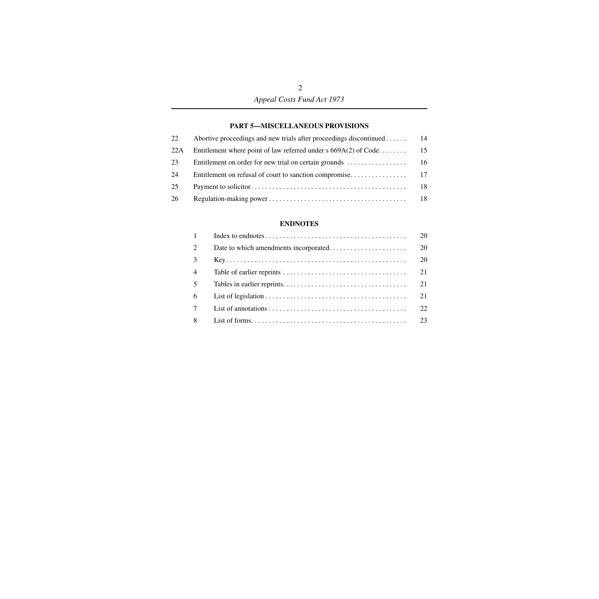## **[PART 5—MISCELLANEOUS PROVISIONS](#page-15-1)**

| 22  | Abortive proceedings and new trials after proceedings discontinued | 14  |
|-----|--------------------------------------------------------------------|-----|
| 22A | Entitlement where point of law referred under s $669A(2)$ of Code  | 15  |
| 23  |                                                                    |     |
| 24  |                                                                    |     |
| 25  |                                                                    | 18  |
| 26  |                                                                    | -18 |

## **[ENDNOTES](#page-21-0)**

| $\mathbf{1}$   | 20 |
|----------------|----|
| 2              | 20 |
| 3              | 20 |
| $\overline{4}$ | 21 |
| 5              | 21 |
| 6              | 21 |
| 7              | 22 |
| 8              | 23 |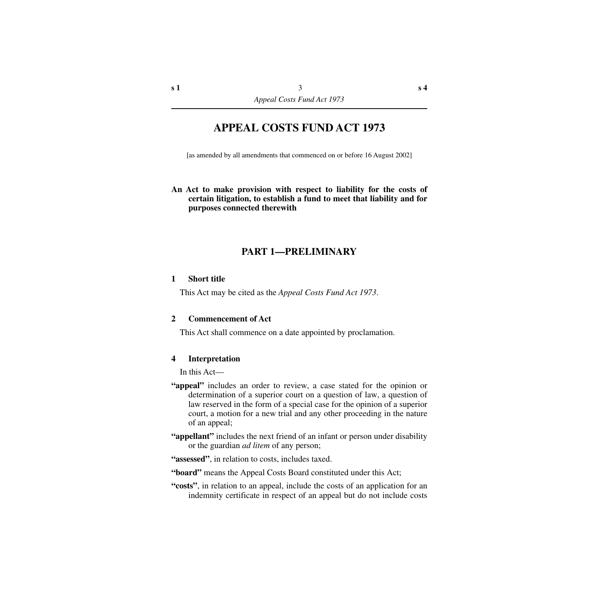# **APPEAL COSTS FUND ACT 1973**

[as amended by all amendments that commenced on or before 16 August 2002]

## **An Act to make provision with respect to liability for the costs of certain litigation, to establish a fund to meet that liability and for purposes connected therewith**

# **PART 1—PRELIMINARY**

### <span id="page-4-1"></span><span id="page-4-0"></span>**1 Short title**

This Act may be cited as the *Appeal Costs Fund Act 1973*.

### <span id="page-4-2"></span>**2 Commencement of Act**

This Act shall commence on a date appointed by proclamation.

## <span id="page-4-3"></span>**4 Interpretation**

In this Act—

- **"appeal"** includes an order to review, a case stated for the opinion or determination of a superior court on a question of law, a question of law reserved in the form of a special case for the opinion of a superior court, a motion for a new trial and any other proceeding in the nature of an appeal;
- **"appellant"** includes the next friend of an infant or person under disability or the guardian *ad litem* of any person;

**"assessed"**, in relation to costs, includes taxed.

**"board"** means the Appeal Costs Board constituted under this Act;

**"costs"**, in relation to an appeal, include the costs of an application for an indemnity certificate in respect of an appeal but do not include costs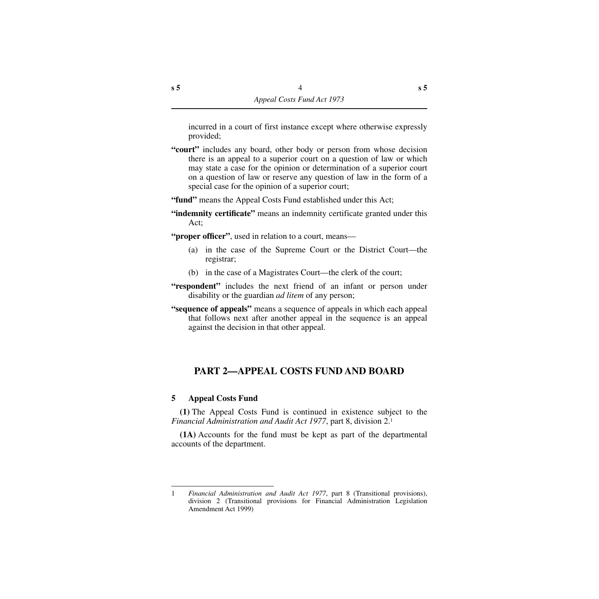incurred in a court of first instance except where otherwise expressly provided;

- **"court"** includes any board, other body or person from whose decision there is an appeal to a superior court on a question of law or which may state a case for the opinion or determination of a superior court on a question of law or reserve any question of law in the form of a special case for the opinion of a superior court;
- **"fund"** means the Appeal Costs Fund established under this Act;
- **"indemnity certificate"** means an indemnity certificate granted under this Act;
- **"proper officer"**, used in relation to a court, means—
	- (a) in the case of the Supreme Court or the District Court—the registrar;
	- (b) in the case of a Magistrates Court—the clerk of the court;
- **"respondent"** includes the next friend of an infant or person under disability or the guardian *ad litem* of any person;
- **"sequence of appeals"** means a sequence of appeals in which each appeal that follows next after another appeal in the sequence is an appeal against the decision in that other appeal.

# <span id="page-5-0"></span>**PART 2—APPEAL COSTS FUND AND BOARD**

# <span id="page-5-1"></span>**5 Appeal Costs Fund**

**(1)** The Appeal Costs Fund is continued in existence subject to the *Financial Administration and Audit Act 1977*, part 8, division 2.1

**(1A)** Accounts for the fund must be kept as part of the departmental accounts of the department.

<sup>1</sup> *Financial Administration and Audit Act 1977*, part 8 (Transitional provisions), division 2 (Transitional provisions for Financial Administration Legislation Amendment Act 1999)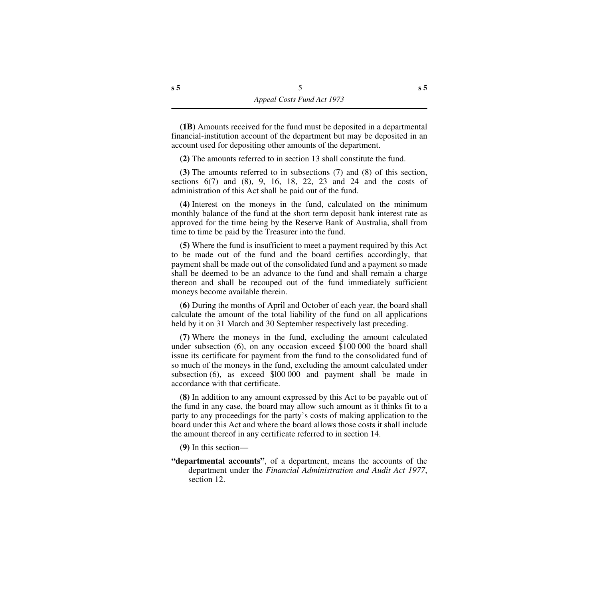**(1B)** Amounts received for the fund must be deposited in a departmental financial-institution account of the department but may be deposited in an account used for depositing other amounts of the department.

**(2)** The amounts referred to in section 13 shall constitute the fund.

**(3)** The amounts referred to in subsections (7) and (8) of this section, sections  $6(7)$  and  $(8)$ ,  $9$ ,  $16$ ,  $18$ ,  $22$ ,  $23$  and  $24$  and the costs of administration of this Act shall be paid out of the fund.

**(4)** Interest on the moneys in the fund, calculated on the minimum monthly balance of the fund at the short term deposit bank interest rate as approved for the time being by the Reserve Bank of Australia, shall from time to time be paid by the Treasurer into the fund.

**(5)** Where the fund is insufficient to meet a payment required by this Act to be made out of the fund and the board certifies accordingly, that payment shall be made out of the consolidated fund and a payment so made shall be deemed to be an advance to the fund and shall remain a charge thereon and shall be recouped out of the fund immediately sufficient moneys become available therein.

**(6)** During the months of April and October of each year, the board shall calculate the amount of the total liability of the fund on all applications held by it on 31 March and 30 September respectively last preceding.

**(7)** Where the moneys in the fund, excluding the amount calculated under subsection (6), on any occasion exceed \$100 000 the board shall issue its certificate for payment from the fund to the consolidated fund of so much of the moneys in the fund, excluding the amount calculated under subsection (6), as exceed \$l00 000 and payment shall be made in accordance with that certificate.

**(8)** In addition to any amount expressed by this Act to be payable out of the fund in any case, the board may allow such amount as it thinks fit to a party to any proceedings for the party's costs of making application to the board under this Act and where the board allows those costs it shall include the amount thereof in any certificate referred to in section 14.

**(9)** In this section—

**"departmental accounts"**, of a department, means the accounts of the department under the *Financial Administration and Audit Act 1977*, section 12.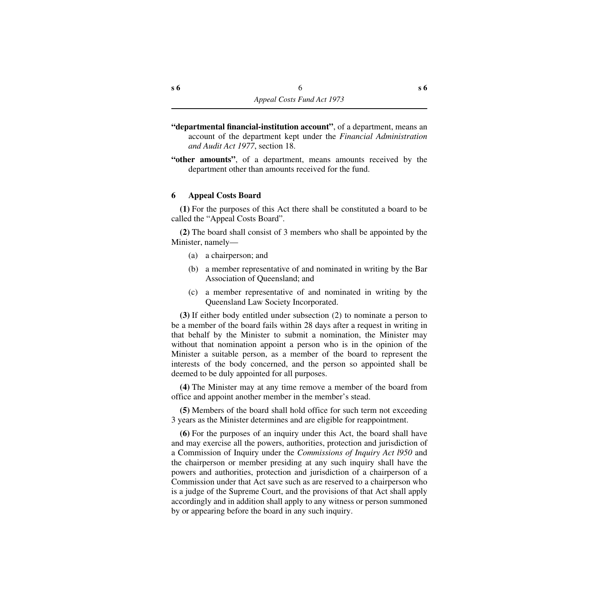- **"departmental financial-institution account"**, of a department, means an account of the department kept under the *Financial Administration and Audit Act 1977*, section 18.
- **"other amounts"**, of a department, means amounts received by the department other than amounts received for the fund.

### <span id="page-7-0"></span>**6 Appeal Costs Board**

**(1)** For the purposes of this Act there shall be constituted a board to be called the "Appeal Costs Board".

**(2)** The board shall consist of 3 members who shall be appointed by the Minister, namely—

- (a) a chairperson; and
- (b) a member representative of and nominated in writing by the Bar Association of Queensland; and
- (c) a member representative of and nominated in writing by the Queensland Law Society Incorporated.

**(3)** If either body entitled under subsection (2) to nominate a person to be a member of the board fails within 28 days after a request in writing in that behalf by the Minister to submit a nomination, the Minister may without that nomination appoint a person who is in the opinion of the Minister a suitable person, as a member of the board to represent the interests of the body concerned, and the person so appointed shall be deemed to be duly appointed for all purposes.

**(4)** The Minister may at any time remove a member of the board from office and appoint another member in the member's stead.

**(5)** Members of the board shall hold office for such term not exceeding 3 years as the Minister determines and are eligible for reappointment.

**(6)** For the purposes of an inquiry under this Act, the board shall have and may exercise all the powers, authorities, protection and jurisdiction of a Commission of Inquiry under the *Commissions of Inquiry Act l950* and the chairperson or member presiding at any such inquiry shall have the powers and authorities, protection and jurisdiction of a chairperson of a Commission under that Act save such as are reserved to a chairperson who is a judge of the Supreme Court, and the provisions of that Act shall apply accordingly and in addition shall apply to any witness or person summoned by or appearing before the board in any such inquiry.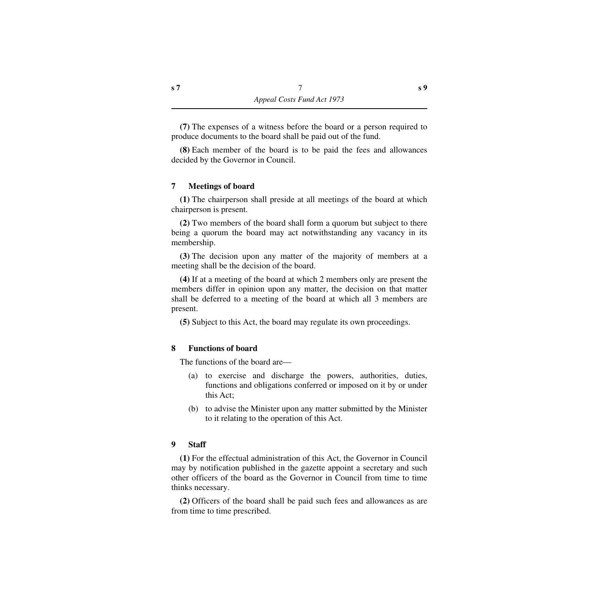**(7)** The expenses of a witness before the board or a person required to produce documents to the board shall be paid out of the fund.

**(8)** Each member of the board is to be paid the fees and allowances decided by the Governor in Council.

### <span id="page-8-0"></span>**7 Meetings of board**

**(1)** The chairperson shall preside at all meetings of the board at which chairperson is present.

**(2)** Two members of the board shall form a quorum but subject to there being a quorum the board may act notwithstanding any vacancy in its membership.

**(3)** The decision upon any matter of the majority of members at a meeting shall be the decision of the board.

**(4)** If at a meeting of the board at which 2 members only are present the members differ in opinion upon any matter, the decision on that matter shall be deferred to a meeting of the board at which all 3 members are present.

**(5)** Subject to this Act, the board may regulate its own proceedings.

### <span id="page-8-1"></span>**8 Functions of board**

The functions of the board are—

- (a) to exercise and discharge the powers, authorities, duties, functions and obligations conferred or imposed on it by or under this Act;
- (b) to advise the Minister upon any matter submitted by the Minister to it relating to the operation of this Act.

### <span id="page-8-2"></span>**9 Staff**

**(1)** For the effectual administration of this Act, the Governor in Council may by notification published in the gazette appoint a secretary and such other officers of the board as the Governor in Council from time to time thinks necessary.

**(2)** Officers of the board shall be paid such fees and allowances as are from time to time prescribed.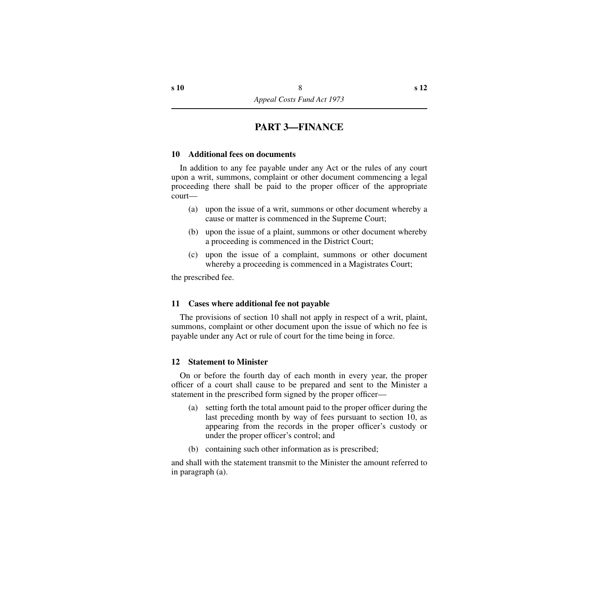# **PART 3—FINANCE**

## <span id="page-9-1"></span><span id="page-9-0"></span>**10 Additional fees on documents**

In addition to any fee payable under any Act or the rules of any court upon a writ, summons, complaint or other document commencing a legal proceeding there shall be paid to the proper officer of the appropriate court—

- (a) upon the issue of a writ, summons or other document whereby a cause or matter is commenced in the Supreme Court;
- (b) upon the issue of a plaint, summons or other document whereby a proceeding is commenced in the District Court;
- (c) upon the issue of a complaint, summons or other document whereby a proceeding is commenced in a Magistrates Court;

the prescribed fee.

### <span id="page-9-2"></span>**11 Cases where additional fee not payable**

The provisions of section 10 shall not apply in respect of a writ, plaint, summons, complaint or other document upon the issue of which no fee is payable under any Act or rule of court for the time being in force.

### <span id="page-9-3"></span>**12 Statement to Minister**

On or before the fourth day of each month in every year, the proper officer of a court shall cause to be prepared and sent to the Minister a statement in the prescribed form signed by the proper officer—

- (a) setting forth the total amount paid to the proper officer during the last preceding month by way of fees pursuant to section 10, as appearing from the records in the proper officer's custody or under the proper officer's control; and
- (b) containing such other information as is prescribed;

and shall with the statement transmit to the Minister the amount referred to in paragraph (a).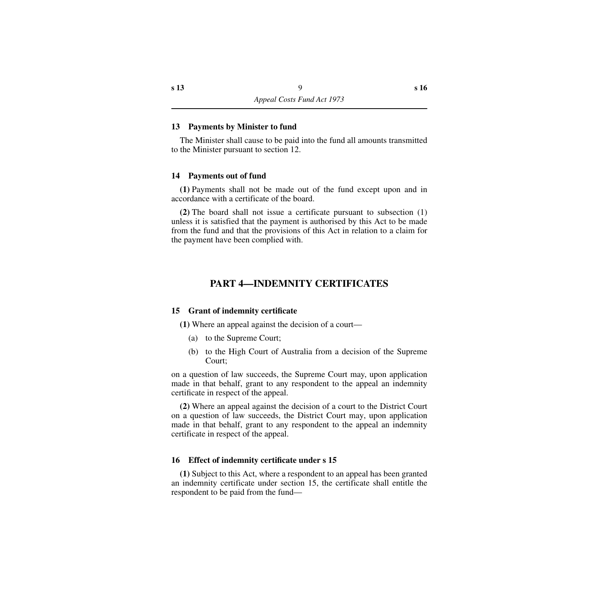#### <span id="page-10-0"></span>**13 Payments by Minister to fund**

The Minister shall cause to be paid into the fund all amounts transmitted to the Minister pursuant to section 12.

#### <span id="page-10-1"></span>**14 Payments out of fund**

**(1)** Payments shall not be made out of the fund except upon and in accordance with a certificate of the board.

**(2)** The board shall not issue a certificate pursuant to subsection (1) unless it is satisfied that the payment is authorised by this Act to be made from the fund and that the provisions of this Act in relation to a claim for the payment have been complied with.

# **PART 4—INDEMNITY CERTIFICATES**

### <span id="page-10-3"></span><span id="page-10-2"></span>**15 Grant of indemnity certificate**

**(1)** Where an appeal against the decision of a court—

- (a) to the Supreme Court;
- (b) to the High Court of Australia from a decision of the Supreme Court;

on a question of law succeeds, the Supreme Court may, upon application made in that behalf, grant to any respondent to the appeal an indemnity certificate in respect of the appeal.

**(2)** Where an appeal against the decision of a court to the District Court on a question of law succeeds, the District Court may, upon application made in that behalf, grant to any respondent to the appeal an indemnity certificate in respect of the appeal.

### <span id="page-10-4"></span>**16 Effect of indemnity certificate under s 15**

**(1)** Subject to this Act, where a respondent to an appeal has been granted an indemnity certificate under section 15, the certificate shall entitle the respondent to be paid from the fund—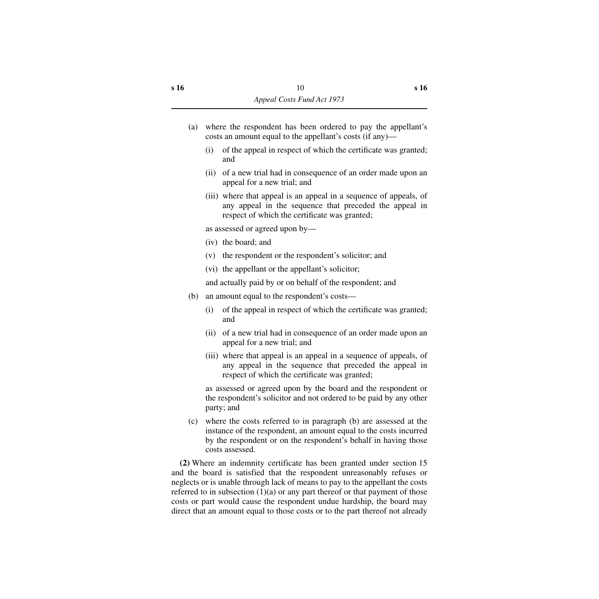- (a) where the respondent has been ordered to pay the appellant's costs an amount equal to the appellant's costs (if any)—
	- (i) of the appeal in respect of which the certificate was granted; and
	- (ii) of a new trial had in consequence of an order made upon an appeal for a new trial; and
	- (iii) where that appeal is an appeal in a sequence of appeals, of any appeal in the sequence that preceded the appeal in respect of which the certificate was granted;

as assessed or agreed upon by—

- (iv) the board; and
- (v) the respondent or the respondent's solicitor; and
- (vi) the appellant or the appellant's solicitor;

and actually paid by or on behalf of the respondent; and

- (b) an amount equal to the respondent's costs—
	- (i) of the appeal in respect of which the certificate was granted; and
	- (ii) of a new trial had in consequence of an order made upon an appeal for a new trial; and
	- (iii) where that appeal is an appeal in a sequence of appeals, of any appeal in the sequence that preceded the appeal in respect of which the certificate was granted;

as assessed or agreed upon by the board and the respondent or the respondent's solicitor and not ordered to be paid by any other party; and

(c) where the costs referred to in paragraph (b) are assessed at the instance of the respondent, an amount equal to the costs incurred by the respondent or on the respondent's behalf in having those costs assessed.

**(2)** Where an indemnity certificate has been granted under section 15 and the board is satisfied that the respondent unreasonably refuses or neglects or is unable through lack of means to pay to the appellant the costs referred to in subsection  $(1)(a)$  or any part thereof or that payment of those costs or part would cause the respondent undue hardship, the board may direct that an amount equal to those costs or to the part thereof not already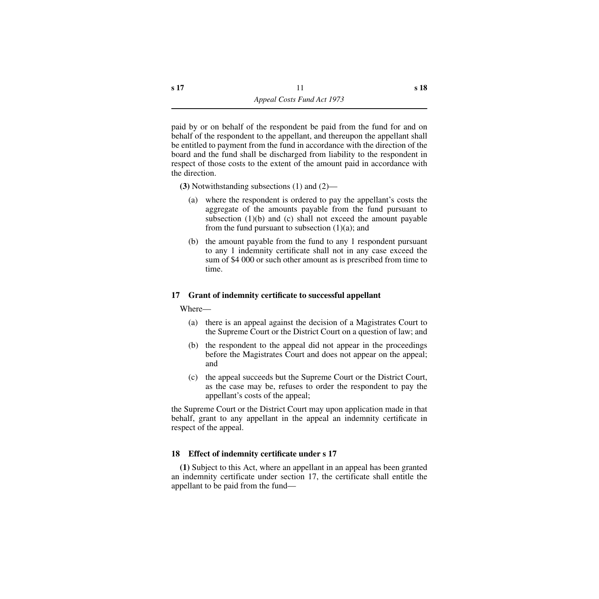paid by or on behalf of the respondent be paid from the fund for and on behalf of the respondent to the appellant, and thereupon the appellant shall be entitled to payment from the fund in accordance with the direction of the board and the fund shall be discharged from liability to the respondent in respect of those costs to the extent of the amount paid in accordance with the direction.

**(3)** Notwithstanding subsections (1) and (2)—

- (a) where the respondent is ordered to pay the appellant's costs the aggregate of the amounts payable from the fund pursuant to subsection  $(1)(b)$  and  $(c)$  shall not exceed the amount payable from the fund pursuant to subsection  $(1)(a)$ ; and
- (b) the amount payable from the fund to any 1 respondent pursuant to any 1 indemnity certificate shall not in any case exceed the sum of \$4 000 or such other amount as is prescribed from time to time.

# <span id="page-12-0"></span>**17 Grant of indemnity certificate to successful appellant**

Where—

- (a) there is an appeal against the decision of a Magistrates Court to the Supreme Court or the District Court on a question of law; and
- (b) the respondent to the appeal did not appear in the proceedings before the Magistrates Court and does not appear on the appeal; and
- (c) the appeal succeeds but the Supreme Court or the District Court, as the case may be, refuses to order the respondent to pay the appellant's costs of the appeal;

the Supreme Court or the District Court may upon application made in that behalf, grant to any appellant in the appeal an indemnity certificate in respect of the appeal.

# <span id="page-12-1"></span>**18 Effect of indemnity certificate under s 17**

**(1)** Subject to this Act, where an appellant in an appeal has been granted an indemnity certificate under section 17, the certificate shall entitle the appellant to be paid from the fund—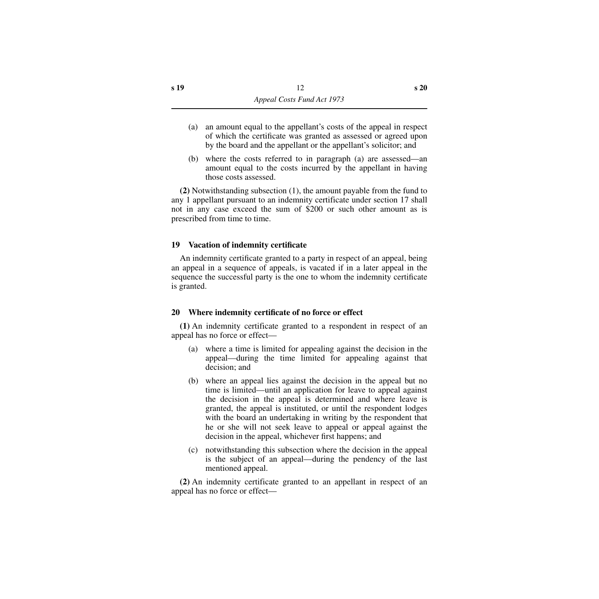- (a) an amount equal to the appellant's costs of the appeal in respect of which the certificate was granted as assessed or agreed upon by the board and the appellant or the appellant's solicitor; and
- (b) where the costs referred to in paragraph (a) are assessed—an amount equal to the costs incurred by the appellant in having those costs assessed.

**(2)** Notwithstanding subsection (1), the amount payable from the fund to any 1 appellant pursuant to an indemnity certificate under section 17 shall not in any case exceed the sum of \$200 or such other amount as is prescribed from time to time.

## <span id="page-13-0"></span>**19 Vacation of indemnity certificate**

An indemnity certificate granted to a party in respect of an appeal, being an appeal in a sequence of appeals, is vacated if in a later appeal in the sequence the successful party is the one to whom the indemnity certificate is granted.

## <span id="page-13-1"></span>**20 Where indemnity certificate of no force or effect**

**(1)** An indemnity certificate granted to a respondent in respect of an appeal has no force or effect—

- (a) where a time is limited for appealing against the decision in the appeal—during the time limited for appealing against that decision; and
- (b) where an appeal lies against the decision in the appeal but no time is limited—until an application for leave to appeal against the decision in the appeal is determined and where leave is granted, the appeal is instituted, or until the respondent lodges with the board an undertaking in writing by the respondent that he or she will not seek leave to appeal or appeal against the decision in the appeal, whichever first happens; and
- (c) notwithstanding this subsection where the decision in the appeal is the subject of an appeal—during the pendency of the last mentioned appeal.

**(2)** An indemnity certificate granted to an appellant in respect of an appeal has no force or effect—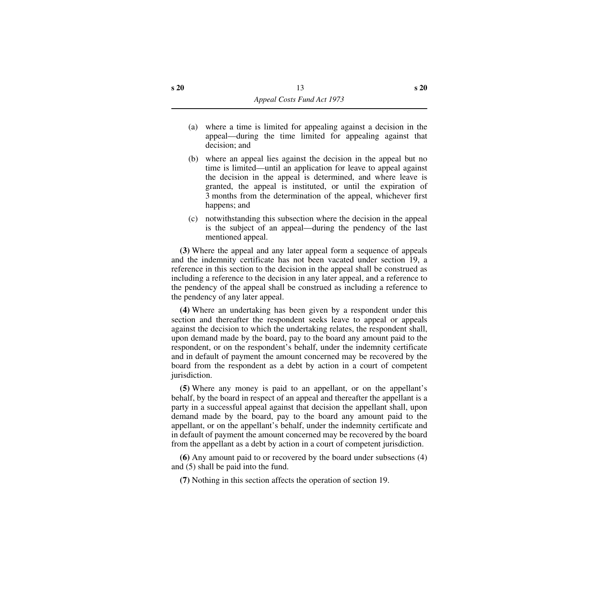- (a) where a time is limited for appealing against a decision in the appeal—during the time limited for appealing against that decision; and
- (b) where an appeal lies against the decision in the appeal but no time is limited—until an application for leave to appeal against the decision in the appeal is determined, and where leave is granted, the appeal is instituted, or until the expiration of 3 months from the determination of the appeal, whichever first happens; and
- (c) notwithstanding this subsection where the decision in the appeal is the subject of an appeal—during the pendency of the last mentioned appeal.

**(3)** Where the appeal and any later appeal form a sequence of appeals and the indemnity certificate has not been vacated under section 19, a reference in this section to the decision in the appeal shall be construed as including a reference to the decision in any later appeal, and a reference to the pendency of the appeal shall be construed as including a reference to the pendency of any later appeal.

**(4)** Where an undertaking has been given by a respondent under this section and thereafter the respondent seeks leave to appeal or appeals against the decision to which the undertaking relates, the respondent shall, upon demand made by the board, pay to the board any amount paid to the respondent, or on the respondent's behalf, under the indemnity certificate and in default of payment the amount concerned may be recovered by the board from the respondent as a debt by action in a court of competent jurisdiction.

**(5)** Where any money is paid to an appellant, or on the appellant's behalf, by the board in respect of an appeal and thereafter the appellant is a party in a successful appeal against that decision the appellant shall, upon demand made by the board, pay to the board any amount paid to the appellant, or on the appellant's behalf, under the indemnity certificate and in default of payment the amount concerned may be recovered by the board from the appellant as a debt by action in a court of competent jurisdiction.

**(6)** Any amount paid to or recovered by the board under subsections (4) and (5) shall be paid into the fund.

**(7)** Nothing in this section affects the operation of section 19.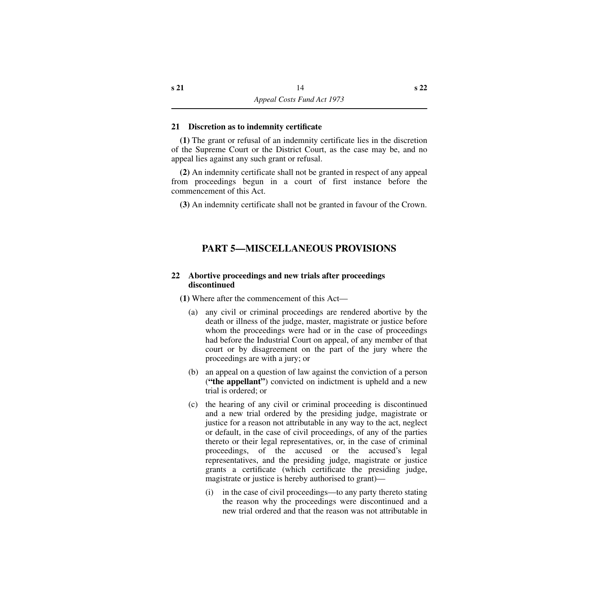### <span id="page-15-0"></span>**21 Discretion as to indemnity certificate**

**(1)** The grant or refusal of an indemnity certificate lies in the discretion of the Supreme Court or the District Court, as the case may be, and no appeal lies against any such grant or refusal.

**(2)** An indemnity certificate shall not be granted in respect of any appeal from proceedings begun in a court of first instance before the commencement of this Act.

**(3)** An indemnity certificate shall not be granted in favour of the Crown.

# **PART 5—MISCELLANEOUS PROVISIONS**

## <span id="page-15-2"></span><span id="page-15-1"></span>**22 Abortive proceedings and new trials after proceedings discontinued**

**(1)** Where after the commencement of this Act—

- (a) any civil or criminal proceedings are rendered abortive by the death or illness of the judge, master, magistrate or justice before whom the proceedings were had or in the case of proceedings had before the Industrial Court on appeal, of any member of that court or by disagreement on the part of the jury where the proceedings are with a jury; or
- (b) an appeal on a question of law against the conviction of a person (**"the appellant"**) convicted on indictment is upheld and a new trial is ordered; or
- (c) the hearing of any civil or criminal proceeding is discontinued and a new trial ordered by the presiding judge, magistrate or justice for a reason not attributable in any way to the act, neglect or default, in the case of civil proceedings, of any of the parties thereto or their legal representatives, or, in the case of criminal proceedings, of the accused or the accused's legal representatives, and the presiding judge, magistrate or justice grants a certificate (which certificate the presiding judge, magistrate or justice is hereby authorised to grant)—
	- (i) in the case of civil proceedings—to any party thereto stating the reason why the proceedings were discontinued and a new trial ordered and that the reason was not attributable in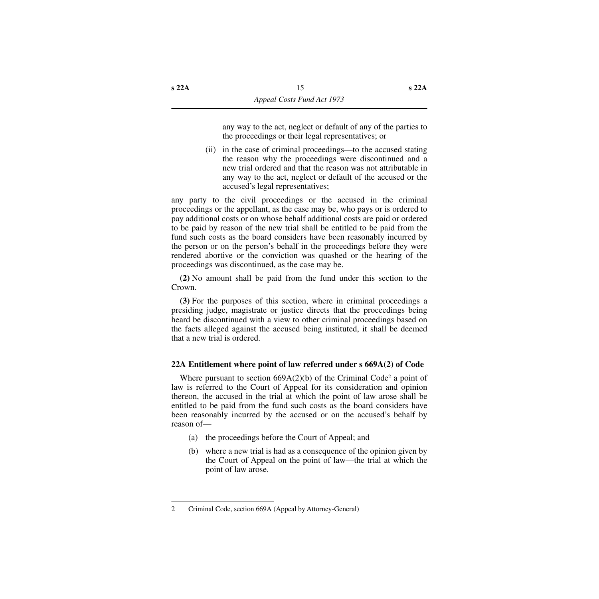any way to the act, neglect or default of any of the parties to the proceedings or their legal representatives; or

(ii) in the case of criminal proceedings—to the accused stating the reason why the proceedings were discontinued and a new trial ordered and that the reason was not attributable in any way to the act, neglect or default of the accused or the accused's legal representatives;

any party to the civil proceedings or the accused in the criminal proceedings or the appellant, as the case may be, who pays or is ordered to pay additional costs or on whose behalf additional costs are paid or ordered to be paid by reason of the new trial shall be entitled to be paid from the fund such costs as the board considers have been reasonably incurred by the person or on the person's behalf in the proceedings before they were rendered abortive or the conviction was quashed or the hearing of the proceedings was discontinued, as the case may be.

**(2)** No amount shall be paid from the fund under this section to the Crown.

**(3)** For the purposes of this section, where in criminal proceedings a presiding judge, magistrate or justice directs that the proceedings being heard be discontinued with a view to other criminal proceedings based on the facts alleged against the accused being instituted, it shall be deemed that a new trial is ordered.

# <span id="page-16-0"></span>**22A Entitlement where point of law referred under s 669A(2) of Code**

Where pursuant to section  $669A(2)(b)$  of the Criminal Code<sup>2</sup> a point of law is referred to the Court of Appeal for its consideration and opinion thereon, the accused in the trial at which the point of law arose shall be entitled to be paid from the fund such costs as the board considers have been reasonably incurred by the accused or on the accused's behalf by reason of—

- (a) the proceedings before the Court of Appeal; and
- (b) where a new trial is had as a consequence of the opinion given by the Court of Appeal on the point of law—the trial at which the point of law arose.

<sup>2</sup> Criminal Code, section 669A (Appeal by Attorney-General)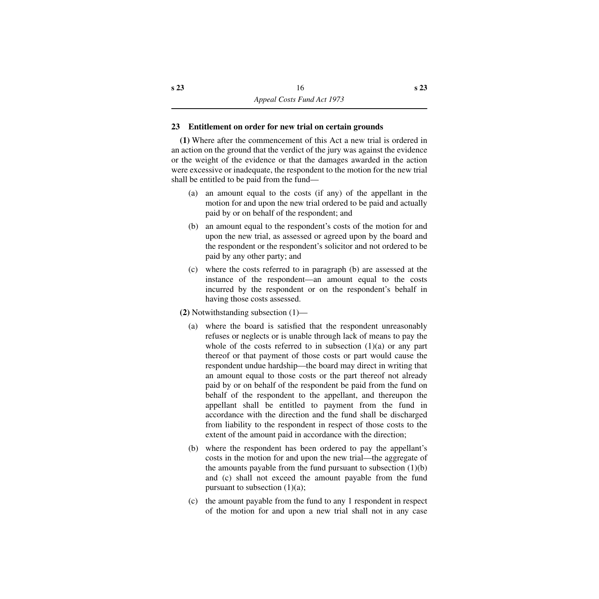## <span id="page-17-0"></span>**23 Entitlement on order for new trial on certain grounds**

**(1)** Where after the commencement of this Act a new trial is ordered in an action on the ground that the verdict of the jury was against the evidence or the weight of the evidence or that the damages awarded in the action were excessive or inadequate, the respondent to the motion for the new trial shall be entitled to be paid from the fund—

- (a) an amount equal to the costs (if any) of the appellant in the motion for and upon the new trial ordered to be paid and actually paid by or on behalf of the respondent; and
- (b) an amount equal to the respondent's costs of the motion for and upon the new trial, as assessed or agreed upon by the board and the respondent or the respondent's solicitor and not ordered to be paid by any other party; and
- (c) where the costs referred to in paragraph (b) are assessed at the instance of the respondent—an amount equal to the costs incurred by the respondent or on the respondent's behalf in having those costs assessed.
- **(2)** Notwithstanding subsection (1)—
	- (a) where the board is satisfied that the respondent unreasonably refuses or neglects or is unable through lack of means to pay the whole of the costs referred to in subsection  $(1)(a)$  or any part thereof or that payment of those costs or part would cause the respondent undue hardship—the board may direct in writing that an amount equal to those costs or the part thereof not already paid by or on behalf of the respondent be paid from the fund on behalf of the respondent to the appellant, and thereupon the appellant shall be entitled to payment from the fund in accordance with the direction and the fund shall be discharged from liability to the respondent in respect of those costs to the extent of the amount paid in accordance with the direction;
	- (b) where the respondent has been ordered to pay the appellant's costs in the motion for and upon the new trial—the aggregate of the amounts payable from the fund pursuant to subsection  $(1)(b)$ and (c) shall not exceed the amount payable from the fund pursuant to subsection  $(1)(a)$ ;
	- (c) the amount payable from the fund to any 1 respondent in respect of the motion for and upon a new trial shall not in any case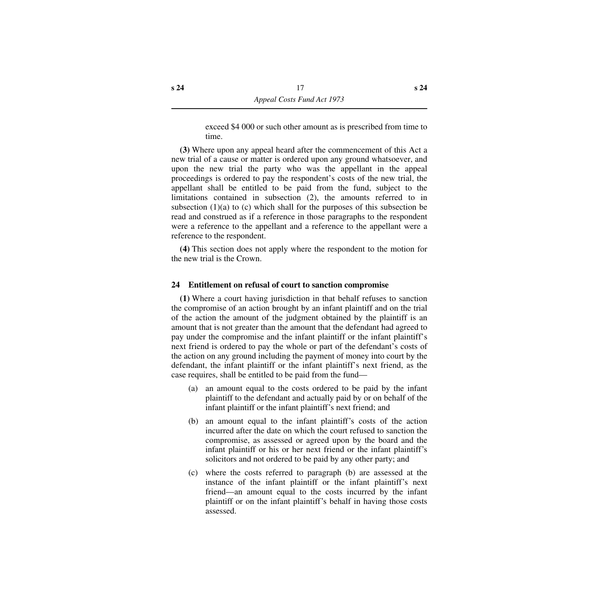exceed \$4 000 or such other amount as is prescribed from time to time.

**(3)** Where upon any appeal heard after the commencement of this Act a new trial of a cause or matter is ordered upon any ground whatsoever, and upon the new trial the party who was the appellant in the appeal proceedings is ordered to pay the respondent's costs of the new trial, the appellant shall be entitled to be paid from the fund, subject to the limitations contained in subsection (2), the amounts referred to in subsection  $(1)(a)$  to  $(c)$  which shall for the purposes of this subsection be read and construed as if a reference in those paragraphs to the respondent were a reference to the appellant and a reference to the appellant were a reference to the respondent.

**(4)** This section does not apply where the respondent to the motion for the new trial is the Crown.

## <span id="page-18-0"></span>**24 Entitlement on refusal of court to sanction compromise**

**(1)** Where a court having jurisdiction in that behalf refuses to sanction the compromise of an action brought by an infant plaintiff and on the trial of the action the amount of the judgment obtained by the plaintiff is an amount that is not greater than the amount that the defendant had agreed to pay under the compromise and the infant plaintiff or the infant plaintiff's next friend is ordered to pay the whole or part of the defendant's costs of the action on any ground including the payment of money into court by the defendant, the infant plaintiff or the infant plaintiff's next friend, as the case requires, shall be entitled to be paid from the fund—

- (a) an amount equal to the costs ordered to be paid by the infant plaintiff to the defendant and actually paid by or on behalf of the infant plaintiff or the infant plaintiff's next friend; and
- (b) an amount equal to the infant plaintiff's costs of the action incurred after the date on which the court refused to sanction the compromise, as assessed or agreed upon by the board and the infant plaintiff or his or her next friend or the infant plaintiff's solicitors and not ordered to be paid by any other party; and
- (c) where the costs referred to paragraph (b) are assessed at the instance of the infant plaintiff or the infant plaintiff's next friend—an amount equal to the costs incurred by the infant plaintiff or on the infant plaintiff's behalf in having those costs assessed.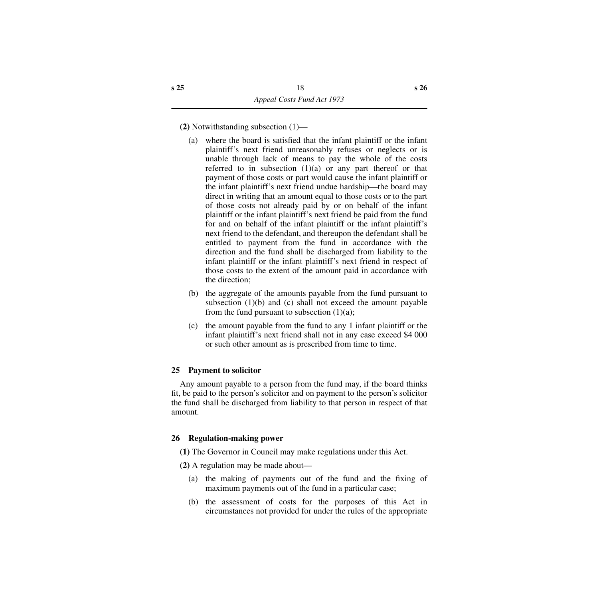**(2)** Notwithstanding subsection (1)—

- (a) where the board is satisfied that the infant plaintiff or the infant plaintiff's next friend unreasonably refuses or neglects or is unable through lack of means to pay the whole of the costs referred to in subsection  $(1)(a)$  or any part thereof or that payment of those costs or part would cause the infant plaintiff or the infant plaintiff's next friend undue hardship—the board may direct in writing that an amount equal to those costs or to the part of those costs not already paid by or on behalf of the infant plaintiff or the infant plaintiff's next friend be paid from the fund for and on behalf of the infant plaintiff or the infant plaintiff's next friend to the defendant, and thereupon the defendant shall be entitled to payment from the fund in accordance with the direction and the fund shall be discharged from liability to the infant plaintiff or the infant plaintiff's next friend in respect of those costs to the extent of the amount paid in accordance with the direction;
- (b) the aggregate of the amounts payable from the fund pursuant to subsection  $(1)(b)$  and  $(c)$  shall not exceed the amount payable from the fund pursuant to subsection  $(1)(a)$ ;
- (c) the amount payable from the fund to any 1 infant plaintiff or the infant plaintiff's next friend shall not in any case exceed \$4 000 or such other amount as is prescribed from time to time.

# <span id="page-19-0"></span>**25 Payment to solicitor**

Any amount payable to a person from the fund may, if the board thinks fit, be paid to the person's solicitor and on payment to the person's solicitor the fund shall be discharged from liability to that person in respect of that amount.

# <span id="page-19-1"></span>**26 Regulation-making power**

- **(1)** The Governor in Council may make regulations under this Act.
- **(2)** A regulation may be made about—
	- (a) the making of payments out of the fund and the fixing of maximum payments out of the fund in a particular case;
	- (b) the assessment of costs for the purposes of this Act in circumstances not provided for under the rules of the appropriate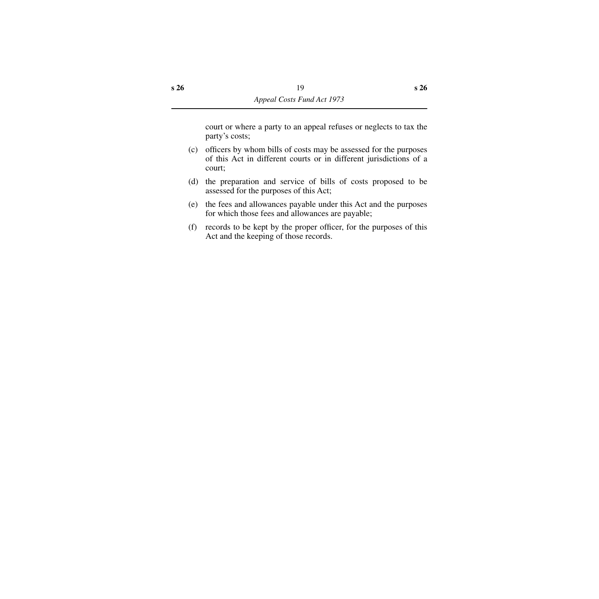court or where a party to an appeal refuses or neglects to tax the party's costs;

- (c) officers by whom bills of costs may be assessed for the purposes of this Act in different courts or in different jurisdictions of a court;
- (d) the preparation and service of bills of costs proposed to be assessed for the purposes of this Act;
- (e) the fees and allowances payable under this Act and the purposes for which those fees and allowances are payable;
- (f) records to be kept by the proper officer, for the purposes of this Act and the keeping of those records.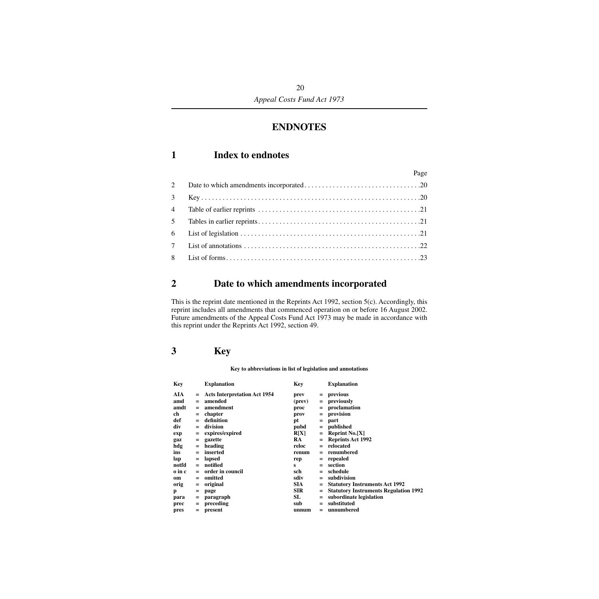# **ENDNOTES**

# <span id="page-21-1"></span><span id="page-21-0"></span>**1 Index to endnotes**

|             | Page |
|-------------|------|
|             |      |
| $3^{\circ}$ |      |
|             |      |
|             |      |
|             |      |
|             |      |
|             |      |

# <span id="page-21-2"></span>**2 Date to which amendments incorporated**

This is the reprint date mentioned in the Reprints Act 1992, section 5(c). Accordingly, this reprint includes all amendments that commenced operation on or before 16 August 2002. Future amendments of the Appeal Costs Fund Act 1973 may be made in accordance with this reprint under the Reprints Act 1992, section 49.

# <span id="page-21-3"></span>**3 Key**

#### **Key to abbreviations in list of legislation and annotations**

| Key    |     | <b>Explanation</b>                  | Key        |     | <b>Explanation</b>                           |
|--------|-----|-------------------------------------|------------|-----|----------------------------------------------|
| AIA    | $=$ | <b>Acts Interpretation Act 1954</b> | prev       | $=$ | previous                                     |
| amd    | $=$ | amended                             | (prev)     | $=$ | previously                                   |
| amdt   | $=$ | amendment                           | proc       | $=$ | proclamation                                 |
| ch     | $=$ | chapter                             | prov       | $=$ | provision                                    |
| def    | $=$ | definition                          | pt         | $=$ | part                                         |
| div    | $=$ | division                            | pubd       | $=$ | published                                    |
| exp    | $=$ | expires/expired                     | R[X]       | $=$ | Reprint $No.[X]$                             |
| gaz    | $=$ | gazette                             | RA         | $=$ | <b>Reprints Act 1992</b>                     |
| hdg    | $=$ | heading                             | reloc      | $=$ | relocated                                    |
| ins    | $=$ | inserted                            | renum      | $=$ | renumbered                                   |
| lap    | $=$ | lapsed                              | rep        | $=$ | repealed                                     |
| notfd  | $=$ | notified                            | s          | $=$ | section                                      |
| o in c | $=$ | order in council                    | sch        |     | schedule                                     |
| om     | $=$ | omitted                             | sdiv       | $=$ | subdivision                                  |
| orig   | $=$ | original                            | SIA.       |     | <b>Statutory Instruments Act 1992</b>        |
| p      | $=$ | page                                | <b>SIR</b> | $=$ | <b>Statutory Instruments Regulation 1992</b> |
| para   | $=$ | paragraph                           | SL         | $=$ | subordinate legislation                      |
| prec   | $=$ | preceding                           | sub        | $=$ | substituted                                  |
| pres   | $=$ | present                             | unnum      | $=$ | unnumbered                                   |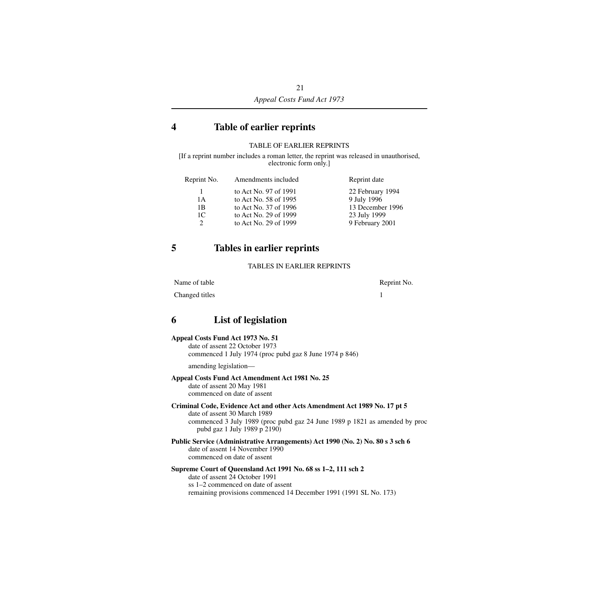# <span id="page-22-0"></span>**4 Table of earlier reprints**

#### TABLE OF EARLIER REPRINTS

[If a reprint number includes a roman letter, the reprint was released in unauthorised, electronic form only.]

| Reprint No.   | Amendments included   | Reprint date     |
|---------------|-----------------------|------------------|
| 1.            | to Act No. 97 of 1991 | 22 February 1994 |
| 1 A           | to Act No. 58 of 1995 | 9 July 1996      |
| 1B            | to Act No. 37 of 1996 | 13 December 1996 |
| 1C            | to Act No. 29 of 1999 | 23 July 1999     |
| $\mathcal{D}$ | to Act No. 29 of 1999 | 9 February 2001  |

# <span id="page-22-1"></span>**5 Tables in earlier reprints**

#### TABLES IN EARLIER REPRINTS

Name of table Reprint No.

Changed titles 1

# <span id="page-22-2"></span>**6 List of legislation**

#### **Appeal Costs Fund Act 1973 No. 51**

date of assent 22 October 1973 commenced 1 July 1974 (proc pubd gaz 8 June 1974 p 846)

amending legislation—

#### **Appeal Costs Fund Act Amendment Act 1981 No. 25**

date of assent 20 May 1981 commenced on date of assent

# **Criminal Code, Evidence Act and other Acts Amendment Act 1989 No. 17 pt 5**

date of assent 30 March 1989 commenced 3 July 1989 (proc pubd gaz 24 June 1989 p 1821 as amended by proc pubd gaz 1 July 1989 p 2190)

#### **Public Service (Administrative Arrangements) Act 1990 (No. 2) No. 80 s 3 sch 6** date of assent 14 November 1990 commenced on date of assent

#### **Supreme Court of Queensland Act 1991 No. 68 ss 1–2, 111 sch 2**

date of assent 24 October 1991 ss 1–2 commenced on date of assent remaining provisions commenced 14 December 1991 (1991 SL No. 173)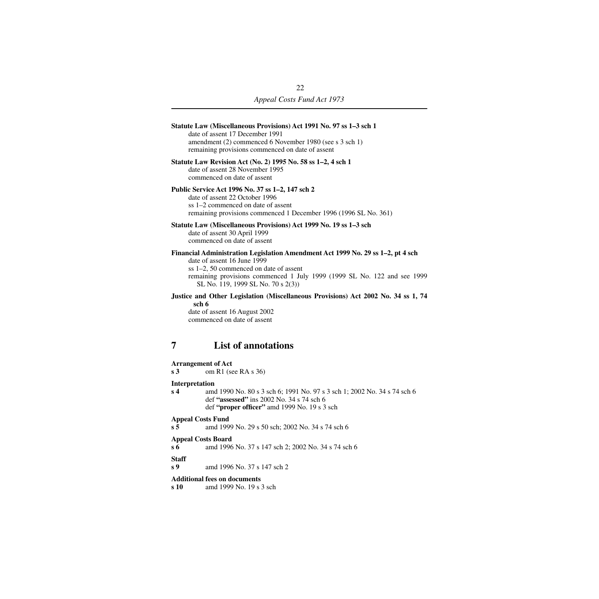<span id="page-23-0"></span>

| Statute Law (Miscellaneous Provisions) Act 1991 No. 97 ss 1-3 sch 1<br>date of assent 17 December 1991<br>amendment (2) commenced 6 November 1980 (see s 3 sch 1)<br>remaining provisions commenced on date of assent                                                      |  |  |  |
|----------------------------------------------------------------------------------------------------------------------------------------------------------------------------------------------------------------------------------------------------------------------------|--|--|--|
| Statute Law Revision Act (No. 2) 1995 No. 58 ss 1-2, 4 sch 1<br>date of assent 28 November 1995<br>commenced on date of assent                                                                                                                                             |  |  |  |
| Public Service Act 1996 No. 37 ss 1–2, 147 sch 2<br>date of assent 22 October 1996<br>ss 1–2 commenced on date of assent<br>remaining provisions commenced 1 December 1996 (1996 SL No. 361)                                                                               |  |  |  |
| Statute Law (Miscellaneous Provisions) Act 1999 No. 19 ss 1–3 sch<br>date of assent 30 April 1999<br>commenced on date of assent                                                                                                                                           |  |  |  |
| Financial Administration Legislation Amendment Act 1999 No. 29 ss 1-2, pt 4 sch<br>date of assent 16 June 1999<br>ss 1–2, 50 commenced on date of assent<br>remaining provisions commenced 1 July 1999 (1999 SL No. 122 and see 1999<br>SL No. 119, 1999 SL No. 70 s 2(3)) |  |  |  |
| Justice and Other Legislation (Miscellaneous Provisions) Act 2002 No. 34 ss 1, 74<br>sch 6<br>date of assent 16 August 2002<br>commenced on date of assent                                                                                                                 |  |  |  |
| <b>List of annotations</b><br>7                                                                                                                                                                                                                                            |  |  |  |
| <b>Arrangement of Act</b><br>om R1 (see RA s 36)<br>s <sub>3</sub>                                                                                                                                                                                                         |  |  |  |
| Interpretation<br>amd 1990 No. 80 s 3 sch 6; 1991 No. 97 s 3 sch 1; 2002 No. 34 s 74 sch 6<br>s <sub>4</sub><br>def "assessed" ins 2002 No. 34 s 74 sch 6<br>def "proper officer" amd 1999 No. 19 s 3 sch                                                                  |  |  |  |
| <b>Appeal Costs Fund</b><br>s <sub>5</sub><br>amd 1999 No. 29 s 50 sch; 2002 No. 34 s 74 sch 6                                                                                                                                                                             |  |  |  |
| <b>Appeal Costs Board</b><br>$s\,6$<br>amd 1996 No. 37 s 147 sch 2; 2002 No. 34 s 74 sch 6                                                                                                                                                                                 |  |  |  |
| <b>Staff</b><br>s <sub>9</sub><br>amd 1996 No. 37 s 147 sch 2                                                                                                                                                                                                              |  |  |  |
| <b>Additional fees on documents</b><br>amd 1999 No. 19 s 3 sch<br>s 10                                                                                                                                                                                                     |  |  |  |
|                                                                                                                                                                                                                                                                            |  |  |  |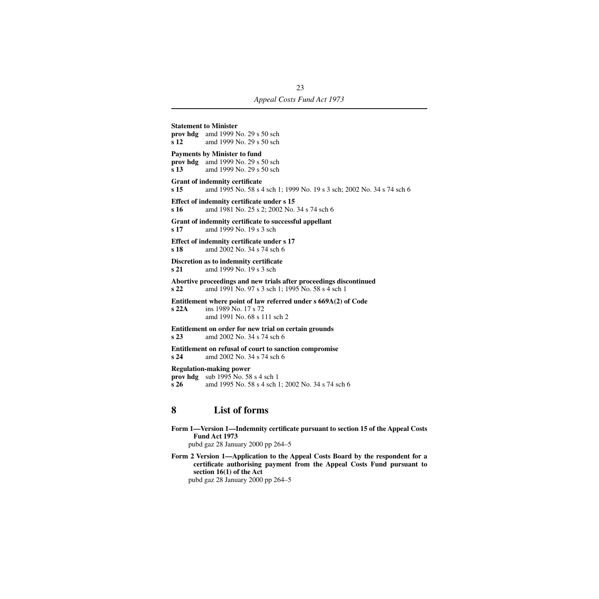**Statement to Minister prov hdg** amd 1999 No. 29 s 50 sch **s 12** amd 1999 No. 29 s 50 sch **Payments by Minister to fund prov hdg** amd 1999 No. 29 s 50 sch **s 13** amd 1999 No. 29 s 50 sch **Grant of indemnity certificate s 15** amd 1995 No. 58 s 4 sch 1; 1999 No. 19 s 3 sch; 2002 No. 34 s 74 sch 6 **Effect of indemnity certificate under s 15 s 16** amd 1981 No. 25 s 2; 2002 No. 34 s 74 sch 6 **Grant of indemnity certificate to successful appellant s 17** amd 1999 No. 19 s 3 sch **Effect of indemnity certificate under s 17 s 18** amd 2002 No. 34 s 74 sch 6 **Discretion as to indemnity certificate s 21** amd 1999 No. 19 s 3 sch **Abortive proceedings and new trials after proceedings discontinued s 22** amd 1991 No. 97 s 3 sch 1; 1995 No. 58 s 4 sch 1 **Entitlement where point of law referred under s 669A(2) of Code s 22A** ins 1989 No. 17 s 72 amd 1991 No. 68 s 111 sch 2 **Entitlement on order for new trial on certain grounds s 23** amd 2002 No. 34 s 74 sch 6 **Entitlement on refusal of court to sanction compromise**<br>s 24 and 2002 No. 34 s 74 sch 6 **s 24** amd 2002 No. 34 s 74 sch 6 **Regulation-making power**

**prov hdg** sub 1995 No. 58 s 4 sch 1 **s 26** amd 1995 No. 58 s 4 sch 1; 2002 No. 34 s 74 sch 6

# <span id="page-24-0"></span>**8 List of forms**

**Form 1—Version 1—Indemnity certificate pursuant to section 15 of the Appeal Costs Fund Act 1973** pubd gaz 28 January 2000 pp 264–5

**Form 2 Version 1—Application to the Appeal Costs Board by the respondent for a certificate authorising payment from the Appeal Costs Fund pursuant to section 16(1) of the Act** pubd gaz 28 January 2000 pp 264–5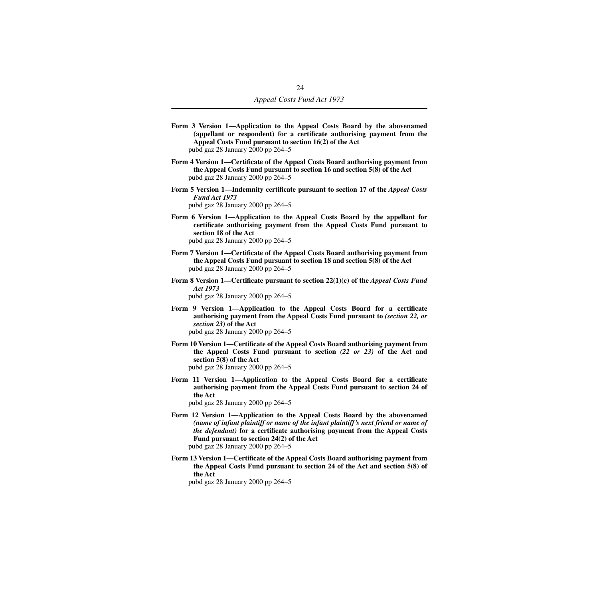- **Form 3 Version 1—Application to the Appeal Costs Board by the abovenamed (appellant or respondent) for a certificate authorising payment from the Appeal Costs Fund pursuant to section 16(2) of the Act** pubd gaz 28 January 2000 pp 264–5
- **Form 4 Version 1—Certificate of the Appeal Costs Board authorising payment from the Appeal Costs Fund pursuant to section 16 and section 5(8) of the Act** pubd gaz 28 January 2000 pp 264–5
- **Form 5 Version 1—Indemnity certificate pursuant to section 17 of the** *Appeal Costs Fund Act 1973* pubd gaz 28 January 2000 pp 264–5
- **Form 6 Version 1—Application to the Appeal Costs Board by the appellant for certificate authorising payment from the Appeal Costs Fund pursuant to section 18 of the Act** pubd gaz 28 January 2000 pp 264–5
- **Form 7 Version 1—Certificate of the Appeal Costs Board authorising payment from the Appeal Costs Fund pursuant to section 18 and section 5(8) of the Act** pubd gaz 28 January 2000 pp 264–5
- **Form 8 Version 1—Certificate pursuant to section 22(1)(c) of the** *Appeal Costs Fund Act 1973* pubd gaz 28 January 2000 pp 264–5
- **Form 9 Version 1—Application to the Appeal Costs Board for a certificate authorising payment from the Appeal Costs Fund pursuant to** *(section 22, or section 23)* **of the Act** pubd gaz 28 January 2000 pp 264–5
- **Form 10 Version 1—Certificate of the Appeal Costs Board authorising payment from the Appeal Costs Fund pursuant to section** *(22 or 23)* **of the Act and section 5(8) of the Act** pubd gaz 28 January 2000 pp 264–5
- **Form 11 Version 1—Application to the Appeal Costs Board for a certificate authorising payment from the Appeal Costs Fund pursuant to section 24 of the Act**
	- pubd gaz 28 January 2000 pp 264–5
- **Form 12 Version 1—Application to the Appeal Costs Board by the abovenamed** *(name of infant plaintiff or name of the infant plaintiff's next friend or name of the defendant)* **for a certificate authorising payment from the Appeal Costs Fund pursuant to section 24(2) of the Act** pubd gaz 28 January 2000 pp 264–5
- **Form 13 Version 1—Certificate of the Appeal Costs Board authorising payment from the Appeal Costs Fund pursuant to section 24 of the Act and section 5(8) of the Act**

pubd gaz 28 January 2000 pp 264–5